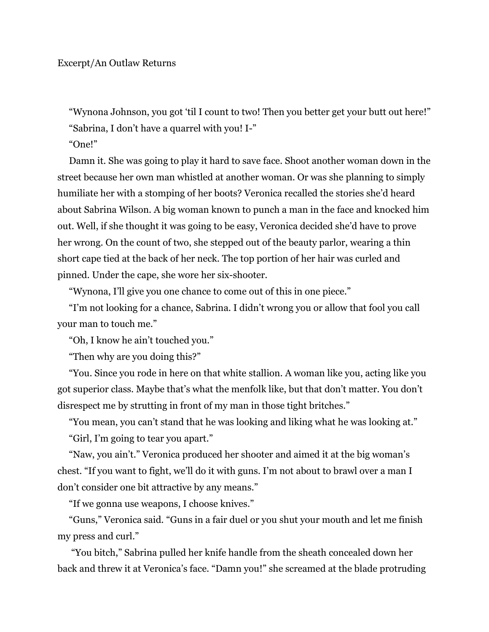"Wynona Johnson, you got 'til I count to two! Then you better get your butt out here!" "Sabrina, I don't have a quarrel with you! I-"

"One!"

Damn it. She was going to play it hard to save face. Shoot another woman down in the street because her own man whistled at another woman. Or was she planning to simply humiliate her with a stomping of her boots? Veronica recalled the stories she'd heard about Sabrina Wilson. A big woman known to punch a man in the face and knocked him out. Well, if she thought it was going to be easy, Veronica decided she'd have to prove her wrong. On the count of two, she stepped out of the beauty parlor, wearing a thin short cape tied at the back of her neck. The top portion of her hair was curled and pinned. Under the cape, she wore her six-shooter.

"Wynona, I'll give you one chance to come out of this in one piece."

"I'm not looking for a chance, Sabrina. I didn't wrong you or allow that fool you call your man to touch me."

"Oh, I know he ain't touched you."

"Then why are you doing this?"

"You. Since you rode in here on that white stallion. A woman like you, acting like you got superior class. Maybe that's what the menfolk like, but that don't matter. You don't disrespect me by strutting in front of my man in those tight britches."

"You mean, you can't stand that he was looking and liking what he was looking at."

"Girl, I'm going to tear you apart."

"Naw, you ain't." Veronica produced her shooter and aimed it at the big woman's chest. "If you want to fight, we'll do it with guns. I'm not about to brawl over a man I don't consider one bit attractive by any means."

"If we gonna use weapons, I choose knives."

"Guns," Veronica said. "Guns in a fair duel or you shut your mouth and let me finish my press and curl."

"You bitch," Sabrina pulled her knife handle from the sheath concealed down her back and threw it at Veronica's face. "Damn you!" she screamed at the blade protruding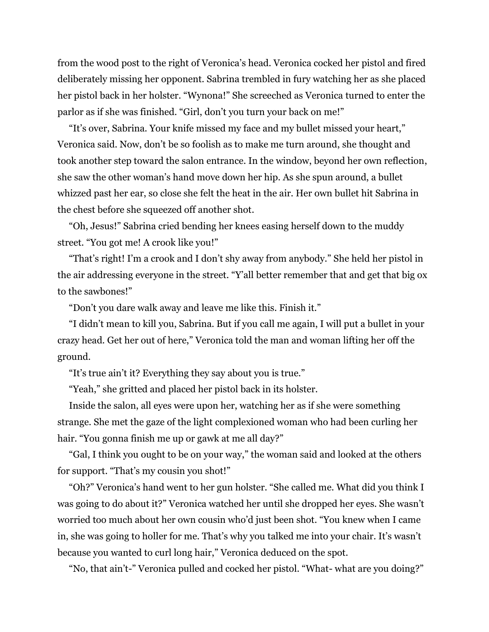from the wood post to the right of Veronica's head. Veronica cocked her pistol and fired deliberately missing her opponent. Sabrina trembled in fury watching her as she placed her pistol back in her holster. "Wynona!" She screeched as Veronica turned to enter the parlor as if she was finished. "Girl, don't you turn your back on me!"

"It's over, Sabrina. Your knife missed my face and my bullet missed your heart," Veronica said. Now, don't be so foolish as to make me turn around, she thought and took another step toward the salon entrance. In the window, beyond her own reflection, she saw the other woman's hand move down her hip. As she spun around, a bullet whizzed past her ear, so close she felt the heat in the air. Her own bullet hit Sabrina in the chest before she squeezed off another shot.

"Oh, Jesus!" Sabrina cried bending her knees easing herself down to the muddy street. "You got me! A crook like you!"

"That's right! I'm a crook and I don't shy away from anybody." She held her pistol in the air addressing everyone in the street. "Y'all better remember that and get that big ox to the sawbones!"

"Don't you dare walk away and leave me like this. Finish it."

"I didn't mean to kill you, Sabrina. But if you call me again, I will put a bullet in your crazy head. Get her out of here," Veronica told the man and woman lifting her off the ground.

"It's true ain't it? Everything they say about you is true."

"Yeah," she gritted and placed her pistol back in its holster.

Inside the salon, all eyes were upon her, watching her as if she were something strange. She met the gaze of the light complexioned woman who had been curling her hair. "You gonna finish me up or gawk at me all day?"

"Gal, I think you ought to be on your way," the woman said and looked at the others for support. "That's my cousin you shot!"

"Oh?" Veronica's hand went to her gun holster. "She called me. What did you think I was going to do about it?" Veronica watched her until she dropped her eyes. She wasn't worried too much about her own cousin who'd just been shot. "You knew when I came in, she was going to holler for me. That's why you talked me into your chair. It's wasn't because you wanted to curl long hair," Veronica deduced on the spot.

"No, that ain't-" Veronica pulled and cocked her pistol. "What- what are you doing?"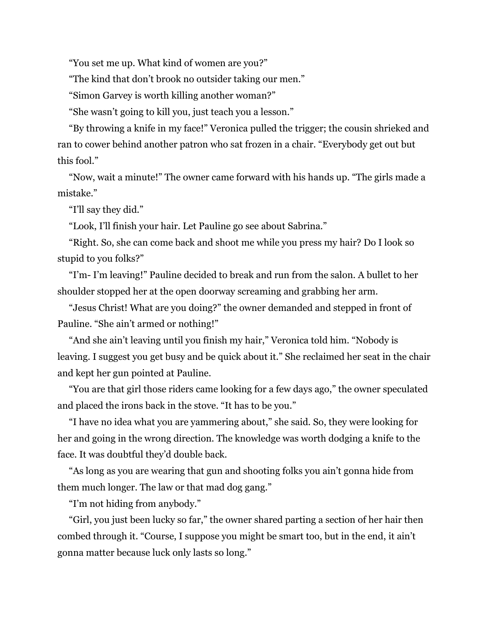"You set me up. What kind of women are you?"

"The kind that don't brook no outsider taking our men."

"Simon Garvey is worth killing another woman?"

"She wasn't going to kill you, just teach you a lesson."

"By throwing a knife in my face!" Veronica pulled the trigger; the cousin shrieked and ran to cower behind another patron who sat frozen in a chair. "Everybody get out but this fool."

"Now, wait a minute!" The owner came forward with his hands up. "The girls made a mistake."

"I'll say they did."

"Look, I'll finish your hair. Let Pauline go see about Sabrina."

"Right. So, she can come back and shoot me while you press my hair? Do I look so stupid to you folks?"

"I'm- I'm leaving!" Pauline decided to break and run from the salon. A bullet to her shoulder stopped her at the open doorway screaming and grabbing her arm.

"Jesus Christ! What are you doing?" the owner demanded and stepped in front of Pauline. "She ain't armed or nothing!"

"And she ain't leaving until you finish my hair," Veronica told him. "Nobody is leaving. I suggest you get busy and be quick about it." She reclaimed her seat in the chair and kept her gun pointed at Pauline.

"You are that girl those riders came looking for a few days ago," the owner speculated and placed the irons back in the stove. "It has to be you."

"I have no idea what you are yammering about," she said. So, they were looking for her and going in the wrong direction. The knowledge was worth dodging a knife to the face. It was doubtful they'd double back.

"As long as you are wearing that gun and shooting folks you ain't gonna hide from them much longer. The law or that mad dog gang."

"I'm not hiding from anybody."

"Girl, you just been lucky so far," the owner shared parting a section of her hair then combed through it. "Course, I suppose you might be smart too, but in the end, it ain't gonna matter because luck only lasts so long."